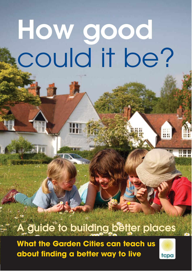# How good could it be?

## A guide to building better places

**What the Garden Cities can teach us about finding a better way to live**

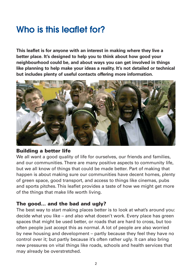## Who is this leaflet for?

**This leaflet is for anyone with an interest in making where they live a better place. It's designed to help you to think about how good your neighbourhood could be, and about ways you can get involved in things like planning to help make your ideas a reality. It's not detailed or technical but includes plenty of useful contacts offering more information.**



#### Building a better life

We all want a good quality of life for ourselves, our friends and families, and our communities. There are many positive aspects to community life, but we all know of things that could be made better. Part of making that happen is about making sure our communities have decent homes, plenty of green space, good transport, and access to things like cinemas, pubs and sports pitches. This leaflet provides a taste of how we might get more of the things that make life worth living.

#### The good... and the bad and ugly?

The best way to start making places better is to look at what's around you: decide what you like – and also what doesn't work. Every place has green spaces that might be used better, or roads that are hard to cross, but too often people just accept this as normal. A lot of people are also worried by new housing and development – partly because they feel they have no control over it; but partly because it's often rather ugly. It can also bring new pressures on vital things like roads, schools and health services that may already be overstretched.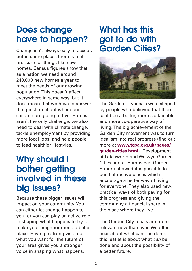## Does change have to happen?

Change isn't always easy to accept, but in some places there is real pressure for things like new homes. Census figures show that as a nation we need around 240,000 new homes a year to meet the needs of our growing population. This doesn't affect everywhere in same way, but it does mean that we have to answer the question about where our children are going to live. Homes aren't the only challenge: we also need to deal with climate change, tackle unemployment by providing more local jobs, and help people to lead healthier lifestyles.

## Why should I bother getting involved in these big issues?

Because these bigger issues will impact on your community. You can either let change happen to you, or you can play an active role in shaping what happens to try to make your neighbourhood a better place. Having a strong vision of what you want for the future of your area gives you a stronger voice in shaping what happens.

## What has this got to do with Garden Cities?



The Garden City ideals were shaped by people who believed that there could be a better, more sustainable and more co-operative way of living. The big achievement of the Garden City movement was to turn idealism into real progress (find out more at **www.tcpa.org.uk/pages/ garden-cities.html**). Development at Letchworth and Welwyn Garden Cities and at Hampstead Garden Suburb showed it is possible to build attractive places which encourage a better way of living for everyone. They also used new, practical ways of both paying for this progress and giving the community a financial share in the place where they live.

The Garden City ideals are more relevant now than ever. We often hear about what can't be done; this leaflet is about what *can* be done and about the possibility of a better future.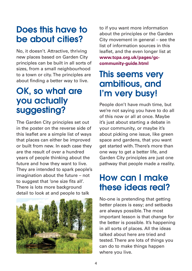## Does this have to be about cities?

No, it doesn't. Attractive, thriving new places based on Garden City principles can be built in all sorts of sizes, from a small neighbourhood to a town or city. The principles are about finding a better way to live.

## OK, so what are you actually suggesting?

The Garden City principles set out in the poster on the reverse side of this leaflet are a simple list of ways that places can either be improved or built from new. In each case they are the result of over a hundred years of people thinking about the future and how they want to live. They are intended to spark people's imagination about the future – not to suggest that 'one size fits all'. There is lots more background detail to look at and people to talk



to if you want more information about the principles or the Garden City movement in general – see the list of information sources in this leaflet, and the even longer list at **www.tcpa.org.uk/pages/gccommunity-guide.html** 

## This seems very ambitious, and I'm very busy!

People don't have much time, but we're not saying you have to do all of this now or all at once. Maybe it's just about starting a debate in your community, or maybe it's about picking one issue, like green space and gardens, that you want get started with. There's more than one way to get a better life, and Garden City principles are just one pathway that people made a reality.

## How can I make these ideas real?

No-one is pretending that getting better places is easy; and setbacks are always possible. The most important lesson is that change for the better is possible. It's happening in all sorts of places. All the ideas talked about here are tried and tested. There are lots of things you can do to make things happen where you live.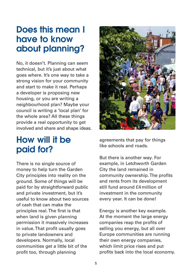## Does this mean I have to know about planning?

No, it doesn't. Planning can seem technical, but it's just about what goes where. It's one way to take a strong vision for your community and start to make it real. Perhaps a developer is proposing new housing, or you are writing a neighbourhood plan? Maybe your council is writing a 'local plan' for the whole area? All these things provide a real opportunity to get involved and share and shape ideas.

## How will it be paid for?

There is no single source of money to help turn the Garden City principles into reality on the ground. Some of things will be paid for by straightforward public and private investment, but it's useful to know about two sources of cash that can make the principles real. The first is that when land is given planning permission it massively increases in value. That profit usually goes to private landowners and developers. Normally, local communities get a little bit of the profit too, through planning



agreements that pay for things like schools and roads.

But there is another way. For example, in Letchworth Garden City the land remained in community ownership. The profits and rents from its development still fund around £4 million of investment in the community every year. It can be done!

Energy is another key example. At the moment the large energy companies reap the profits of selling you energy, but all over Europe communities are running their own energy companies, which limit price rises and put profits back into the local economy.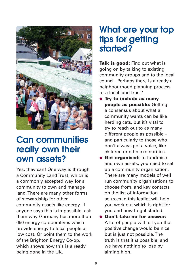

## Can communities really own their own assets?

Yes, they can! One way is through a Community Land Trust, which is a commonly accepted way for a community to own and manage land. There are many other forms of stewardship for other community assets like energy. If anyone says this is impossible, ask them why Germany has more than 650 energy co-operatives which provide energy to local people at low cost. Or point them to the work of the Brighton Energy Co-op, which shows how this is already being done in the UK.

## What are your top tips for getting started?

Talk is good: Find out what is going on by talking to existing community groups and to the local council. Perhaps there is already a neighbourhood planning process or a local land trust?

- **Try to include as many** people as possible: Getting a consensus about what a community wants can be like herding cats, but it's vital to try to reach out to as many different people as possible – and particularly to those who don't always get a voice, like children or ethnic minorities.
- **Get organised:** To fundraise and own assets, you need to set up a community organisation. There are many models of well run community organisations to choose from, and key contacts on the list of information sources in this leaflet will help you work out which is right for you and how to get started.
- Don't take no for answer: A lot of people will tell you that positive change would be nice but is just not possible. The truth is that it is possible; and we have nothing to lose by aiming high.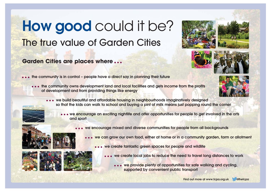# The true value of Garden Cities How good could it be?

#### **Garden Cities are places where ...**

- $\bullet$  the community is in control people have a direct say in planning their future
	- • the community owns development land and local facilities and gets income from the profits of development and from providing things like energy
		- • we build beautiful and affordable housing in neighbourhoods imaginatively designed so that the kids can walk to school and buying a pint of milk means just popping round the corner
			- we encourage an exciting nightlife and offer opportunities for people to get involved in the arts and sport
				- we encourage mixed and diverse communities for people from all backgrounds
					- we can grow our own food, either at home or in a community garden, farm or allotment
						- • we create fantastic green spaces for people and wildlife
							- • we create local jobs to reduce the need to travel long distances to work
								- • we provide plenty of opportunities for safe walking and cycling. supported by convenient public transport













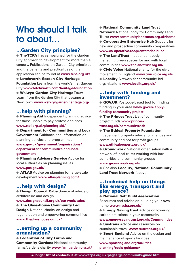## Who should I talk to about…

#### …Garden City principles?

● The TCPA has campaigned for the Garden City approach to development for more than a century. Publications on Garden City principles and the benefits and practicalities of their application can be found at **www.tcpa.org.uk/** ● Letchworth Garden City Heritage Foundation Learn from the world's first Garden City **www.letchworth.com/heritage-foundation** ● Welwyn Garden City Heritage Trust Learn from the Garden City that became a New Town **www.welwyngarden-heritage.org/**

#### …help with planning?

● Planning Aid Independent planning advice for those unable to pay professional fees **www.rtpi.org.uk/planning-aid/**

● Department for Communities and Local **Government** Guidance and information on planning policies and programmes **www.gov.uk/government/organisations/**

**department-for-communities-and-localgovernment**

● Planning Advisory Service Advice for local authorities on planning issues **www.pas.gov.uk/**

● ATLAS Advice on planning for large-scale development **www.atlasplanning.com/**

#### …help with design?

**• Design Council Cabe** Source of advice on architecture and design

**www.designcouncil.org.uk/our-work/cabe/**

● The Glass-House Community Led **Design** National charity on design and regeneration and empowering communities **www.theglasshouse.org.uk/**

#### …setting up a community organisation?

#### ● Federation of City Farms and

**Community Gardens National community** farms/gardens charity **www.farmgarden.org.uk/**

#### ● National Community Land Trust

**Network** National body for Community Land Trusts **www.communitylandtrusts.org.uk/home**  ● Co-operative Enterprise Hub Support for new and prospective community co-operatives **www.co-operative.coop/enterprise-hub/**

**• The Land Trust Independent body** managing green spaces for and with local communities **www.thelandtrust.org.uk/**

● Civic Voice National charity for the civic movement in England **www.civicvoice.org.uk/ • Locality** Network for community-led organisations **www.locality.org.uk/**

#### …help with funding and investment?

**GOV.UK** Postcode-based tool for finding funding in your area **www.gov.uk/applyfunding-community-project**

**• The Princes Trust** List of community project funds **www.princes-**

#### **trust.org.uk/communitycash**

● The Ethical Property Foundation

Independent property advice for charities and community and not-for-profit groups

#### **www.ethicalproperty.org.uk/**

**• Groundwork** National organisation with a network of local trusts working with local authorities and community groups

#### **www.groundwork.org.uk/**

● See also Locality, National Community Land Trust Network (above)

#### …technical help on things like energy, transport and play space?

#### ● National Self Build Association

Resources and advice on building your own home **www.nasba.org.uk/**

**• Energy Saving Trust Advice on lowering** carbon emissions in your community

#### **www.energysavingtrust.org.uk/Communities** ● Sustrans Advice and resources on

sustainable travel **www.sustrans.org.uk/**

**• Sport England** Advice on the design and maintenance of sports facilities **www.sportengland.org/facilitiesplanning/tools-guidance/**